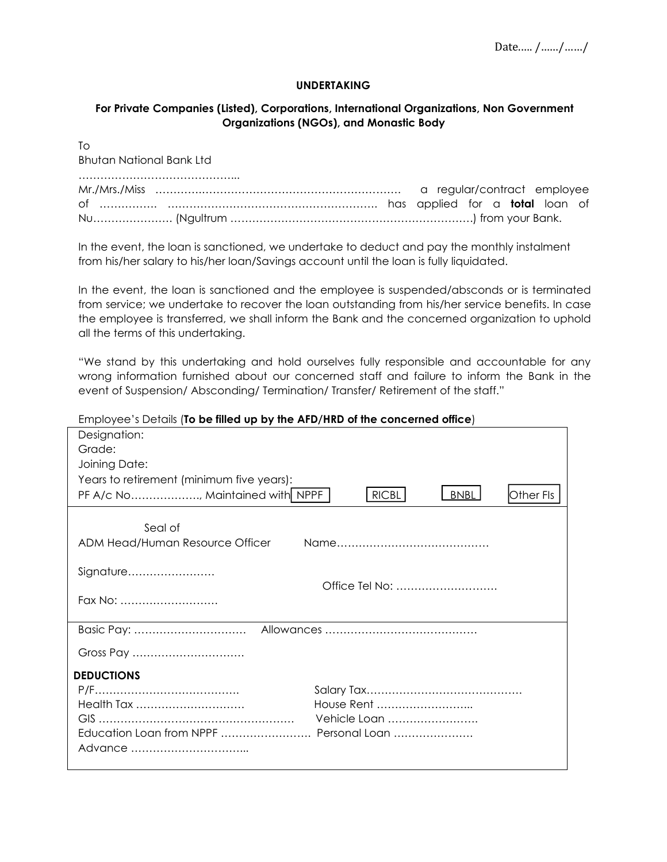## **UNDERTAKING**

## **For Private Companies (Listed), Corporations, International Organizations, Non Government Organizations (NGOs), and Monastic Body**

To Bhutan National Bank Ltd

In the event, the loan is sanctioned, we undertake to deduct and pay the monthly instalment from his/her salary to his/her loan/Savings account until the loan is fully liquidated.

In the event, the loan is sanctioned and the employee is suspended/absconds or is terminated from service; we undertake to recover the loan outstanding from his/her service benefits. In case the employee is transferred, we shall inform the Bank and the concerned organization to uphold all the terms of this undertaking.

"We stand by this undertaking and hold ourselves fully responsible and accountable for any wrong information furnished about our concerned staff and failure to inform the Bank in the event of Suspension/ Absconding/ Termination/ Transfer/ Retirement of the staff."<br>Emplovee's Details (**To be filled up by the AFD/HRD of the concerned office**)

| Designation:                                                                |
|-----------------------------------------------------------------------------|
| Grade:                                                                      |
| Joining Date:                                                               |
| Years to retirement (minimum five years):                                   |
| PF A/c No, Maintained with NPPF<br><b>RICBL</b><br><b>BNBL</b><br>Other Fls |
|                                                                             |
| Seal of                                                                     |
| ADM Head/Human Resource Officer                                             |
|                                                                             |
| Signature                                                                   |
| Office Tel No:                                                              |
| Fax No:                                                                     |
|                                                                             |
|                                                                             |
| Gross Pay                                                                   |
| <b>DEDUCTIONS</b>                                                           |
|                                                                             |
| House Rent<br>Health Tax                                                    |
| Vehicle Loan                                                                |
| Education Loan from NPPF  Personal Loan                                     |
|                                                                             |
|                                                                             |